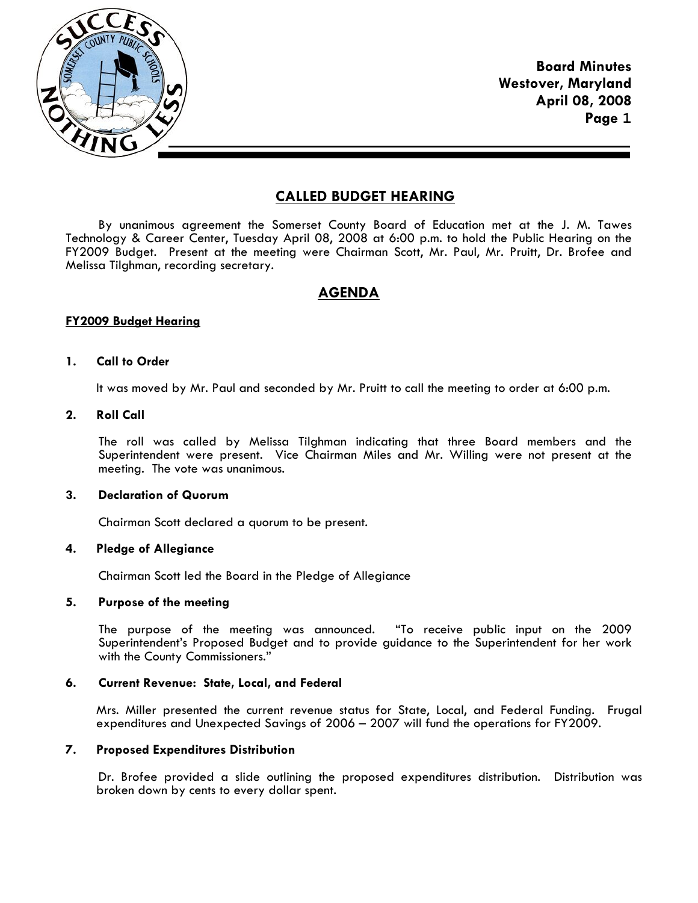

**Board Minutes Westover, Maryland April 08, 2008 Page 1**

# **CALLED BUDGET HEARING**

By unanimous agreement the Somerset County Board of Education met at the J. M. Tawes Technology & Career Center, Tuesday April 08, 2008 at 6:00 p.m. to hold the Public Hearing on the FY2009 Budget. Present at the meeting were Chairman Scott, Mr. Paul, Mr. Pruitt, Dr. Brofee and Melissa Tilghman, recording secretary.

# **AGENDA**

## **FY2009 Budget Hearing**

## **1. Call to Order**

It was moved by Mr. Paul and seconded by Mr. Pruitt to call the meeting to order at 6:00 p.m.

# **2. Roll Call**

The roll was called by Melissa Tilghman indicating that three Board members and the Superintendent were present. Vice Chairman Miles and Mr. Willing were not present at the meeting. The vote was unanimous.

#### **3. Declaration of Quorum**

Chairman Scott declared a quorum to be present.

# **4. Pledge of Allegiance**

Chairman Scott led the Board in the Pledge of Allegiance

#### **5. Purpose of the meeting**

The purpose of the meeting was announced. "To receive public input on the 2009 Superintendent's Proposed Budget and to provide guidance to the Superintendent for her work with the County Commissioners."

## **6. Current Revenue: State, Local, and Federal**

Mrs. Miller presented the current revenue status for State, Local, and Federal Funding. Frugal expenditures and Unexpected Savings of 2006 – 2007 will fund the operations for FY2009.

## **7. Proposed Expenditures Distribution**

 Dr. Brofee provided a slide outlining the proposed expenditures distribution. Distribution was broken down by cents to every dollar spent.